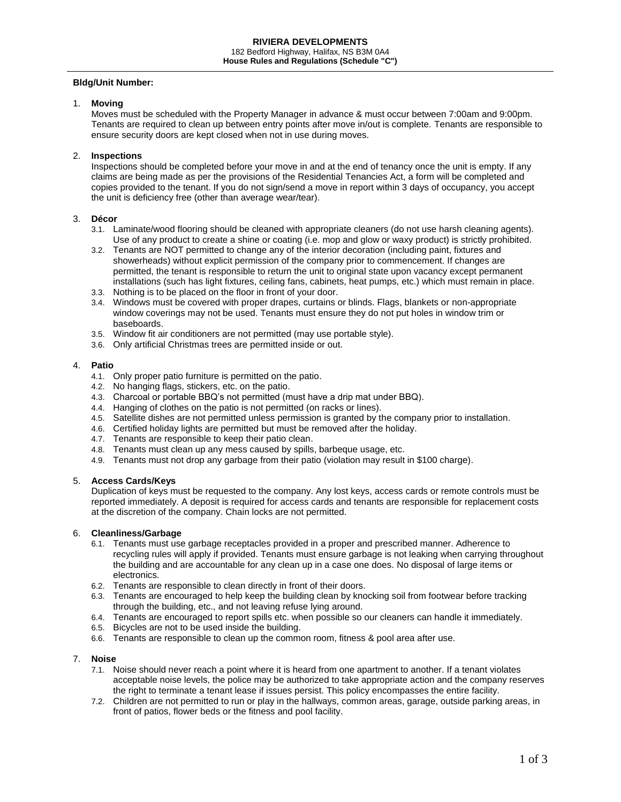### **Bldg/Unit Number:**

### 1. **Moving**

Moves must be scheduled with the Property Manager in advance & must occur between 7:00am and 9:00pm. Tenants are required to clean up between entry points after move in/out is complete. Tenants are responsible to ensure security doors are kept closed when not in use during moves.

# 2. **Inspections**

Inspections should be completed before your move in and at the end of tenancy once the unit is empty. If any claims are being made as per the provisions of the Residential Tenancies Act, a form will be completed and copies provided to the tenant. If you do not sign/send a move in report within 3 days of occupancy, you accept the unit is deficiency free (other than average wear/tear).

# 3. **Décor**

- 3.1. Laminate/wood flooring should be cleaned with appropriate cleaners (do not use harsh cleaning agents). Use of any product to create a shine or coating (i.e. mop and glow or waxy product) is strictly prohibited.
- 3.2. Tenants are NOT permitted to change any of the interior decoration (including paint, fixtures and showerheads) without explicit permission of the company prior to commencement. If changes are permitted, the tenant is responsible to return the unit to original state upon vacancy except permanent installations (such has light fixtures, ceiling fans, cabinets, heat pumps, etc.) which must remain in place.
- 3.3. Nothing is to be placed on the floor in front of your door.
- 3.4. Windows must be covered with proper drapes, curtains or blinds. Flags, blankets or non-appropriate window coverings may not be used. Tenants must ensure they do not put holes in window trim or baseboards.
- 3.5. Window fit air conditioners are not permitted (may use portable style).
- 3.6. Only artificial Christmas trees are permitted inside or out.

### 4. **Patio**

- 4.1. Only proper patio furniture is permitted on the patio.
- 4.2. No hanging flags, stickers, etc. on the patio.
- 4.3. Charcoal or portable BBQ's not permitted (must have a drip mat under BBQ).
- 4.4. Hanging of clothes on the patio is not permitted (on racks or lines).
- 4.5. Satellite dishes are not permitted unless permission is granted by the company prior to installation.
- 4.6. Certified holiday lights are permitted but must be removed after the holiday.
- 4.7. Tenants are responsible to keep their patio clean.
- 4.8. Tenants must clean up any mess caused by spills, barbeque usage, etc.
- 4.9. Tenants must not drop any garbage from their patio (violation may result in \$100 charge).

# 5. **Access Cards/Keys**

Duplication of keys must be requested to the company. Any lost keys, access cards or remote controls must be reported immediately. A deposit is required for access cards and tenants are responsible for replacement costs at the discretion of the company. Chain locks are not permitted.

### 6. **Cleanliness/Garbage**

- 6.1. Tenants must use garbage receptacles provided in a proper and prescribed manner. Adherence to recycling rules will apply if provided. Tenants must ensure garbage is not leaking when carrying throughout the building and are accountable for any clean up in a case one does. No disposal of large items or electronics.
- 6.2. Tenants are responsible to clean directly in front of their doors.
- 6.3. Tenants are encouraged to help keep the building clean by knocking soil from footwear before tracking through the building, etc., and not leaving refuse lying around.
- 6.4. Tenants are encouraged to report spills etc. when possible so our cleaners can handle it immediately.
- 6.5. Bicycles are not to be used inside the building.
- 6.6. Tenants are responsible to clean up the common room, fitness & pool area after use.

# 7. **Noise**

- 7.1. Noise should never reach a point where it is heard from one apartment to another. If a tenant violates acceptable noise levels, the police may be authorized to take appropriate action and the company reserves the right to terminate a tenant lease if issues persist. This policy encompasses the entire facility.
- 7.2. Children are not permitted to run or play in the hallways, common areas, garage, outside parking areas, in front of patios, flower beds or the fitness and pool facility.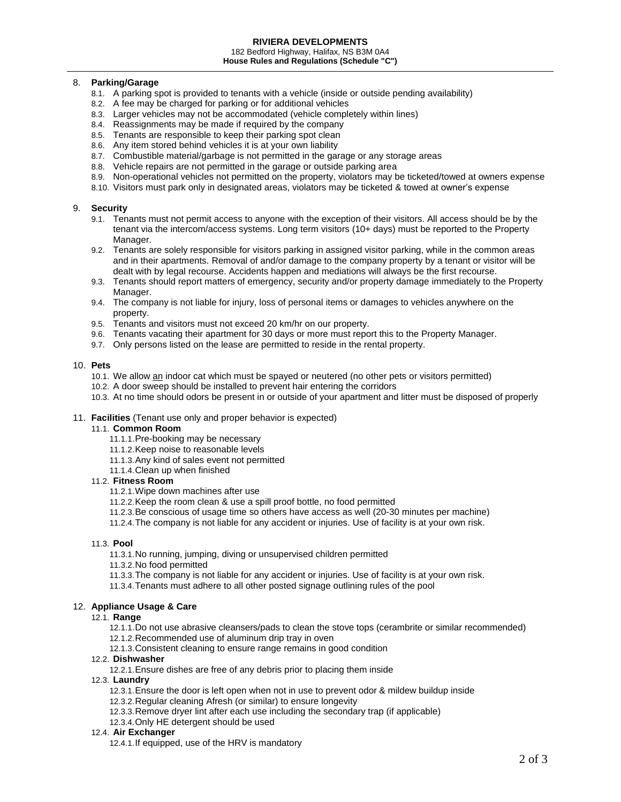#### 182 Bedford Highway, Halifax, NS B3M 0A4 **House Rules and Regulations (Schedule "C")**

# 8. **Parking/Garage**

- 8.1. A parking spot is provided to tenants with a vehicle (inside or outside pending availability)
- 8.2. A fee may be charged for parking or for additional vehicles
- 8.3. Larger vehicles may not be accommodated (vehicle completely within lines)
- 8.4. Reassignments may be made if required by the company
- 8.5. Tenants are responsible to keep their parking spot clean
- 8.6. Any item stored behind vehicles it is at your own liability
- 8.7. Combustible material/garbage is not permitted in the garage or any storage areas
- 8.8. Vehicle repairs are not permitted in the garage or outside parking area
- 8.9. Non-operational vehicles not permitted on the property, violators may be ticketed/towed at owners expense
- 8.10. Visitors must park only in designated areas, violators may be ticketed & towed at owner's expense

### 9. **Security**

- 9.1. Tenants must not permit access to anyone with the exception of their visitors. All access should be by the tenant via the intercom/access systems. Long term visitors (10+ days) must be reported to the Property Manager.
- 9.2. Tenants are solely responsible for visitors parking in assigned visitor parking, while in the common areas and in their apartments. Removal of and/or damage to the company property by a tenant or visitor will be dealt with by legal recourse. Accidents happen and mediations will always be the first recourse.
- 9.3. Tenants should report matters of emergency, security and/or property damage immediately to the Property Manager.
- 9.4. The company is not liable for injury, loss of personal items or damages to vehicles anywhere on the property.
- 9.5. Tenants and visitors must not exceed 20 km/hr on our property.
- 9.6. Tenants vacating their apartment for 30 days or more must report this to the Property Manager.
- 9.7. Only persons listed on the lease are permitted to reside in the rental property.

### 10. **Pets**

- 10.1. We allow an indoor cat which must be spayed or neutered (no other pets or visitors permitted)
- 10.2. A door sweep should be installed to prevent hair entering the corridors
- 10.3. At no time should odors be present in or outside of your apartment and litter must be disposed of properly

### 11. **Facilities** (Tenant use only and proper behavior is expected)

### 11.1. **Common Room**

- 11.1.1.Pre-booking may be necessary
- 11.1.2.Keep noise to reasonable levels
- 11.1.3.Any kind of sales event not permitted
- 11.1.4.Clean up when finished

### 11.2. **Fitness Room**

- 11.2.1.Wipe down machines after use
- 11.2.2.Keep the room clean & use a spill proof bottle, no food permitted
- 11.2.3.Be conscious of usage time so others have access as well (20-30 minutes per machine)
- 11.2.4.The company is not liable for any accident or injuries. Use of facility is at your own risk.

### 11.3. **Pool**

- 11.3.1.No running, jumping, diving or unsupervised children permitted
- 11.3.2.No food permitted
- 11.3.3.The company is not liable for any accident or injuries. Use of facility is at your own risk.
- 11.3.4.Tenants must adhere to all other posted signage outlining rules of the pool

# 12. **Appliance Usage & Care**

### 12.1. **Range**

- 12.1.1.Do not use abrasive cleansers/pads to clean the stove tops (cerambrite or similar recommended)
- 12.1.2.Recommended use of aluminum drip tray in oven
- 12.1.3.Consistent cleaning to ensure range remains in good condition

# 12.2. **Dishwasher**

12.2.1.Ensure dishes are free of any debris prior to placing them inside

12.3. **Laundry**

- 12.3.1.Ensure the door is left open when not in use to prevent odor & mildew buildup inside
- 12.3.2.Regular cleaning Afresh (or similar) to ensure longevity
- 12.3.3.Remove dryer lint after each use including the secondary trap (if applicable)
- 12.3.4.Only HE detergent should be used

# 12.4. **Air Exchanger**

12.4.1.If equipped, use of the HRV is mandatory